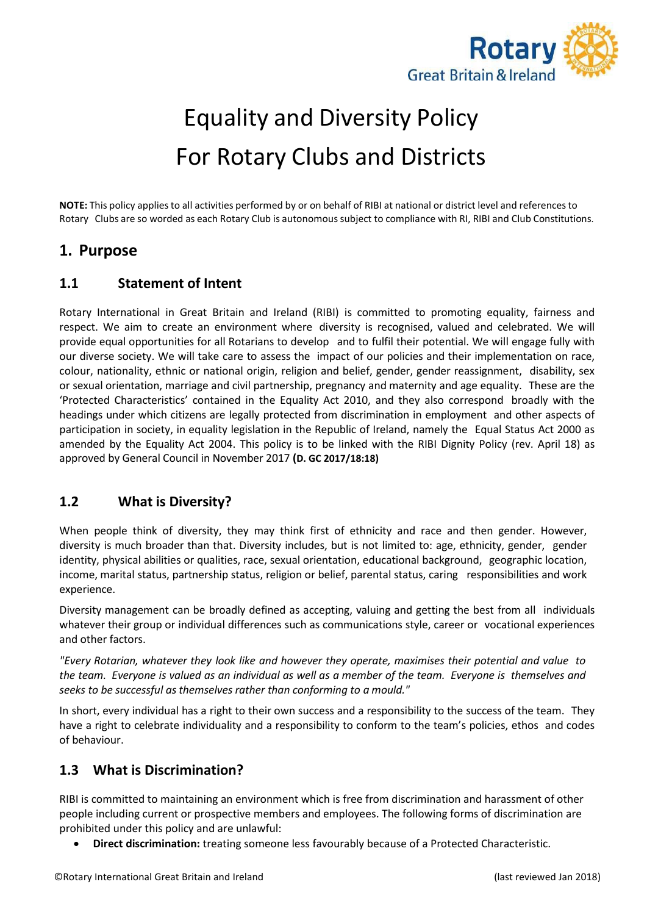

# Equality and Diversity Policy For Rotary Clubs and Districts

**NOTE:** This policy appliesto all activities performed by or on behalf of RIBI at national or district level and referencesto Rotary Clubs are so worded as each Rotary Club is autonomoussubject to compliance with RI, RIBI and Club Constitutions.

## **1. Purpose**

## **1.1 Statement of Intent**

Rotary International in Great Britain and Ireland (RIBI) is committed to promoting equality, fairness and respect. We aim to create an environment where diversity is recognised, valued and celebrated. We will provide equal opportunities for all Rotarians to develop and to fulfil their potential. We will engage fully with our diverse society. We will take care to assess the impact of our policies and their implementation on race, colour, nationality, ethnic or national origin, religion and belief, gender, gender reassignment, disability, sex or sexual orientation, marriage and civil partnership, pregnancy and maternity and age equality. These are the 'Protected Characteristics' contained in the Equality Act 2010, and they also correspond broadly with the headings under which citizens are legally protected from discrimination in employment and other aspects of participation in society, in equality legislation in the Republic of Ireland, namely the Equal Status Act 2000 as amended by the Equality Act 2004. This policy is to be linked with the RIBI Dignity Policy (rev. April 18) as approved by General Council in November 2017 **(D. GC 2017/18:18)**

### **1.2 What is Diversity?**

When people think of diversity, they may think first of ethnicity and race and then gender. However, diversity is much broader than that. Diversity includes, but is not limited to: age, ethnicity, gender, gender identity, physical abilities or qualities, race, sexual orientation, educational background, geographic location, income, marital status, partnership status, religion or belief, parental status, caring responsibilities and work experience.

Diversity management can be broadly defined as accepting, valuing and getting the best from all individuals whatever their group or individual differences such as communications style, career or vocational experiences and other factors.

*"Every Rotarian, whatever they look like and however they operate, maximises their potential and value to the team. Everyone is valued as an individual as well as a member of the team. Everyone is themselves and seeks to be successful as themselves rather than conforming to a mould."*

In short, every individual has a right to their own success and a responsibility to the success of the team. They have a right to celebrate individuality and a responsibility to conform to the team's policies, ethos and codes of behaviour.

## **1.3 What is Discrimination?**

RIBI is committed to maintaining an environment which is free from discrimination and harassment of other people including current or prospective members and employees. The following forms of discrimination are prohibited under this policy and are unlawful:

• **Direct discrimination:** treating someone less favourably because of a Protected Characteristic.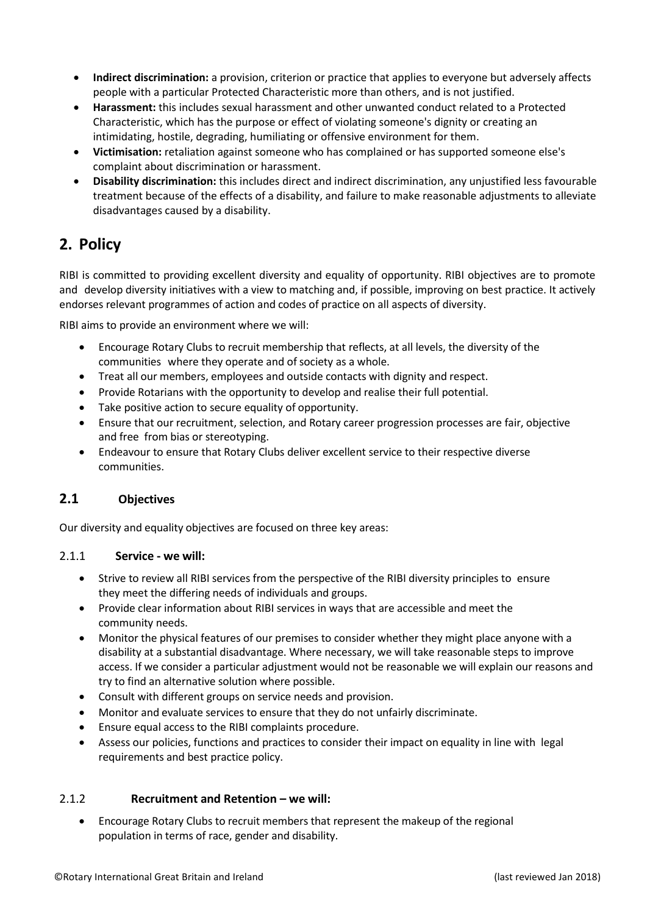- **Indirect discrimination:** a provision, criterion or practice that applies to everyone but adversely affects people with a particular Protected Characteristic more than others, and is not justified.
- **Harassment:** this includes sexual harassment and other unwanted conduct related to a Protected Characteristic, which has the purpose or effect of violating someone's dignity or creating an intimidating, hostile, degrading, humiliating or offensive environment for them.
- **Victimisation:** retaliation against someone who has complained or has supported someone else's complaint about discrimination or harassment.
- **Disability discrimination:** this includes direct and indirect discrimination, any unjustified less favourable treatment because of the effects of a disability, and failure to make reasonable adjustments to alleviate disadvantages caused by a disability.

# **2. Policy**

RIBI is committed to providing excellent diversity and equality of opportunity. RIBI objectives are to promote and develop diversity initiatives with a view to matching and, if possible, improving on best practice. It actively endorses relevant programmes of action and codes of practice on all aspects of diversity.

RIBI aims to provide an environment where we will:

- Encourage Rotary Clubs to recruit membership that reflects, at all levels, the diversity of the communities where they operate and of society as a whole.
- Treat all our members, employees and outside contacts with dignity and respect.
- Provide Rotarians with the opportunity to develop and realise their full potential.
- Take positive action to secure equality of opportunity.
- Ensure that our recruitment, selection, and Rotary career progression processes are fair, objective and free from bias or stereotyping.
- Endeavour to ensure that Rotary Clubs deliver excellent service to their respective diverse communities.

## **2.1 Objectives**

Our diversity and equality objectives are focused on three key areas:

#### 2.1.1 **Service - we will:**

- Strive to review all RIBI services from the perspective of the RIBI diversity principles to ensure they meet the differing needs of individuals and groups.
- Provide clear information about RIBI services in ways that are accessible and meet the community needs.
- Monitor the physical features of our premises to consider whether they might place anyone with a disability at a substantial disadvantage. Where necessary, we will take reasonable steps to improve access. If we consider a particular adjustment would not be reasonable we will explain our reasons and try to find an alternative solution where possible.
- Consult with different groups on service needs and provision.
- Monitor and evaluate services to ensure that they do not unfairly discriminate.
- Ensure equal access to the RIBI complaints procedure.
- Assess our policies, functions and practices to consider their impact on equality in line with legal requirements and best practice policy.

#### 2.1.2 **Recruitment and Retention – we will:**

• Encourage Rotary Clubs to recruit members that represent the makeup of the regional population in terms of race, gender and disability.